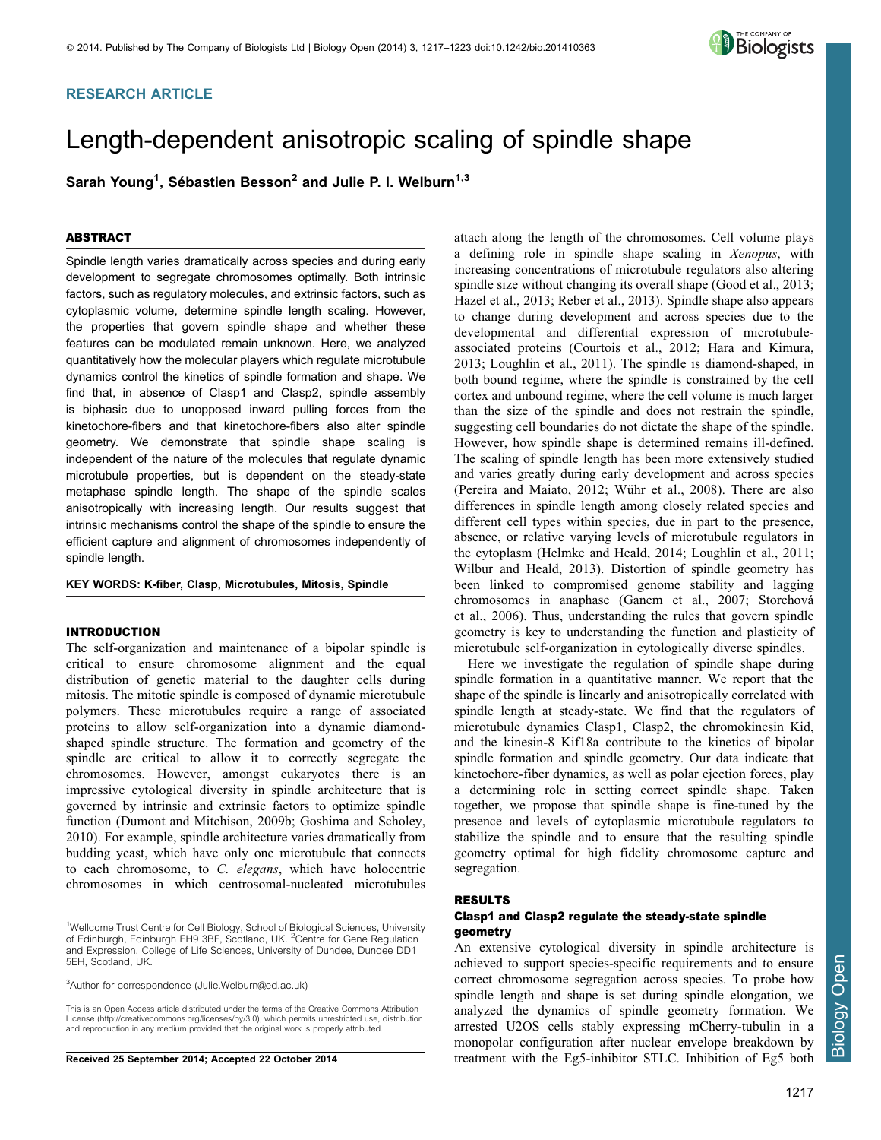# RESEARCH ARTICLE

# Length-dependent anisotropic scaling of spindle shape

Sarah Young<sup>1</sup>, Sébastien Besson<sup>2</sup> and Julie P. I. Welburn<sup>1,3</sup>

# ABSTRACT

Spindle length varies dramatically across species and during early development to segregate chromosomes optimally. Both intrinsic factors, such as regulatory molecules, and extrinsic factors, such as cytoplasmic volume, determine spindle length scaling. However, the properties that govern spindle shape and whether these features can be modulated remain unknown. Here, we analyzed quantitatively how the molecular players which regulate microtubule dynamics control the kinetics of spindle formation and shape. We find that, in absence of Clasp1 and Clasp2, spindle assembly is biphasic due to unopposed inward pulling forces from the kinetochore-fibers and that kinetochore-fibers also alter spindle geometry. We demonstrate that spindle shape scaling is independent of the nature of the molecules that regulate dynamic microtubule properties, but is dependent on the steady-state metaphase spindle length. The shape of the spindle scales anisotropically with increasing length. Our results suggest that intrinsic mechanisms control the shape of the spindle to ensure the efficient capture and alignment of chromosomes independently of spindle length.

#### KEY WORDS: K-fiber, Clasp, Microtubules, Mitosis, Spindle

### INTRODUCTION

The self-organization and maintenance of a bipolar spindle is critical to ensure chromosome alignment and the equal distribution of genetic material to the daughter cells during mitosis. The mitotic spindle is composed of dynamic microtubule polymers. These microtubules require a range of associated proteins to allow self-organization into a dynamic diamondshaped spindle structure. The formation and geometry of the spindle are critical to allow it to correctly segregate the chromosomes. However, amongst eukaryotes there is an impressive cytological diversity in spindle architecture that is governed by intrinsic and extrinsic factors to optimize spindle function ([Dumont and Mitchison, 2009b; Goshima and Scholey,](#page-6-0) [2010\)](#page-6-0). For example, spindle architecture varies dramatically from budding yeast, which have only one microtubule that connects to each chromosome, to C. elegans, which have holocentric chromosomes in which centrosomal-nucleated microtubules

<sup>3</sup>Author for correspondence [\(Julie.Welburn@ed.ac.uk\)](mailto:Julie.Welburn@ed.ac.uk)

This is an Open Access article distributed under the terms of the Creative Commons Attribution License [\(http://creativecommons.org/licenses/by/3.0\), whi](http://creativecommons.org/licenses/by/3.0)ch permits unrestricted use, distribution and reproduction in any medium provided that the original work is properly attributed.

Received 25 September 2014; Accepted 22 October 2014

attach along the length of the chromosomes. Cell volume plays a defining role in spindle shape scaling in Xenopus, with increasing concentrations of microtubule regulators also altering spindle size without changing its overall shape ([Good et al., 2013](#page-6-0); [Hazel et al., 2013; Reber et al., 2013\)](#page-6-0). Spindle shape also appears to change during development and across species due to the developmental and differential expression of microtubuleassociated proteins ([Courtois et al., 2012](#page-6-0); [Hara and Kimura,](#page-6-0) [2013; Loughlin et al., 2011\)](#page-6-0). The spindle is diamond-shaped, in both bound regime, where the spindle is constrained by the cell cortex and unbound regime, where the cell volume is much larger than the size of the spindle and does not restrain the spindle, suggesting cell boundaries do not dictate the shape of the spindle. However, how spindle shape is determined remains ill-defined. The scaling of spindle length has been more extensively studied and varies greatly during early development and across species ([Pereira and Maiato, 2012](#page-6-0); Wühr et al., 2008). There are also differences in spindle length among closely related species and different cell types within species, due in part to the presence, absence, or relative varying levels of microtubule regulators in the cytoplasm [\(Helmke and Heald, 2014; Loughlin et al., 2011](#page-6-0); [Wilbur and Heald, 2013\)](#page-6-0). Distortion of spindle geometry has been linked to compromised genome stability and lagging chromosomes in anaphase ([Ganem et al., 2007](#page-6-0); Storchová [et al., 2006\)](#page-6-0). Thus, understanding the rules that govern spindle geometry is key to understanding the function and plasticity of microtubule self-organization in cytologically diverse spindles.

Here we investigate the regulation of spindle shape during spindle formation in a quantitative manner. We report that the shape of the spindle is linearly and anisotropically correlated with spindle length at steady-state. We find that the regulators of microtubule dynamics Clasp1, Clasp2, the chromokinesin Kid, and the kinesin-8 Kif18a contribute to the kinetics of bipolar spindle formation and spindle geometry. Our data indicate that kinetochore-fiber dynamics, as well as polar ejection forces, play a determining role in setting correct spindle shape. Taken together, we propose that spindle shape is fine-tuned by the presence and levels of cytoplasmic microtubule regulators to stabilize the spindle and to ensure that the resulting spindle geometry optimal for high fidelity chromosome capture and segregation.

## RESULTS

## Clasp1 and Clasp2 regulate the steady-state spindle geometry

An extensive cytological diversity in spindle architecture is achieved to support species-specific requirements and to ensure correct chromosome segregation across species. To probe how spindle length and shape is set during spindle elongation, we analyzed the dynamics of spindle geometry formation. We arrested U2OS cells stably expressing mCherry-tubulin in a monopolar configuration after nuclear envelope breakdown by treatment with the Eg5-inhibitor STLC. Inhibition of Eg5 both



<sup>&</sup>lt;sup>1</sup>Wellcome Trust Centre for Cell Biology, School of Biological Sciences, University of Edinburgh, Edinburgh EH9 3BF, Scotland, UK. <sup>2</sup>Centre for Gene Regulation and Expression, College of Life Sciences, University of Dundee, Dundee DD1 5EH, Scotland, UK.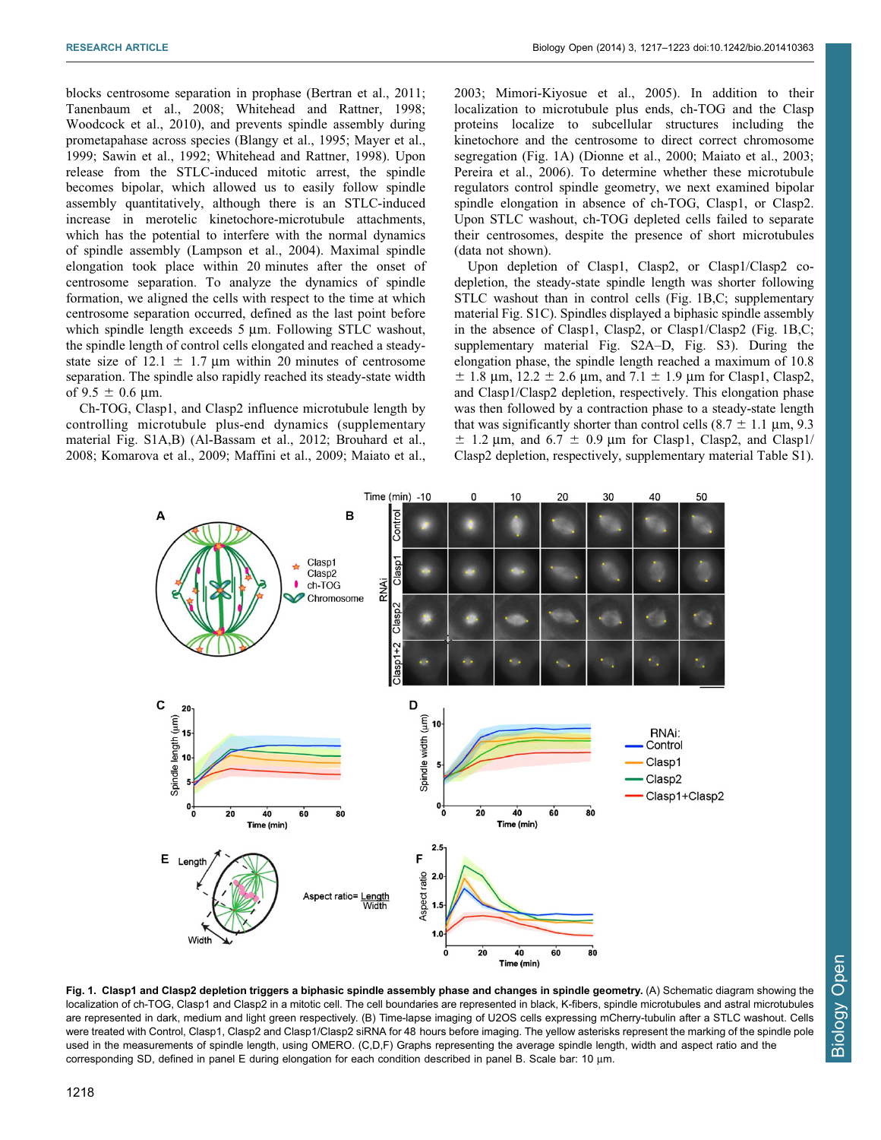<span id="page-1-0"></span>blocks centrosome separation in prophase [\(Bertran et al., 2011](#page-6-0); [Tanenbaum et al., 2008](#page-6-0); [Whitehead and Rattner, 1998](#page-6-0); [Woodcock et al., 2010\)](#page-6-0), and prevents spindle assembly during prometapahase across species [\(Blangy et al., 1995; Mayer et al.,](#page-6-0) [1999; Sawin et al., 1992; Whitehead and Rattner, 1998\)](#page-6-0). Upon release from the STLC-induced mitotic arrest, the spindle becomes bipolar, which allowed us to easily follow spindle assembly quantitatively, although there is an STLC-induced increase in merotelic kinetochore-microtubule attachments, which has the potential to interfere with the normal dynamics of spindle assembly [\(Lampson et al., 2004\)](#page-6-0). Maximal spindle elongation took place within 20 minutes after the onset of centrosome separation. To analyze the dynamics of spindle formation, we aligned the cells with respect to the time at which centrosome separation occurred, defined as the last point before which spindle length exceeds 5 µm. Following STLC washout, the spindle length of control cells elongated and reached a steadystate size of 12.1  $\pm$  1.7 µm within 20 minutes of centrosome separation. The spindle also rapidly reached its steady-state width of 9.5  $\pm$  0.6 µm.

Ch-TOG, Clasp1, and Clasp2 influence microtubule length by controlling microtubule plus-end dynamics ([supplementary](http://bio.biologists.org/lookup/suppl/doi:10.1242/bio.201410363/-/DC1) [material Fig. S1A,B](http://bio.biologists.org/lookup/suppl/doi:10.1242/bio.201410363/-/DC1)) ([Al-Bassam et al., 2012](#page-6-0); [Brouhard et al.,](#page-6-0) [2008; Komarova et al., 2009](#page-6-0); [Maffini et al., 2009; Maiato et al.,](#page-6-0) [2003; Mimori-Kiyosue et al., 2005](#page-6-0)). In addition to their localization to microtubule plus ends, ch-TOG and the Clasp proteins localize to subcellular structures including the kinetochore and the centrosome to direct correct chromosome segregation (Fig. 1A) ([Dionne et al., 2000; Maiato et al., 2003](#page-6-0); [Pereira et al., 2006\)](#page-6-0). To determine whether these microtubule regulators control spindle geometry, we next examined bipolar spindle elongation in absence of ch-TOG, Clasp1, or Clasp2. Upon STLC washout, ch-TOG depleted cells failed to separate their centrosomes, despite the presence of short microtubules (data not shown).

Upon depletion of Clasp1, Clasp2, or Clasp1/Clasp2 codepletion, the steady-state spindle length was shorter following STLC washout than in control cells (Fig. 1B,C; [supplementary](http://bio.biologists.org/lookup/suppl/doi:10.1242/bio.201410363/-/DC1) [material Fig. S1C\)](http://bio.biologists.org/lookup/suppl/doi:10.1242/bio.201410363/-/DC1). Spindles displayed a biphasic spindle assembly in the absence of Clasp1, Clasp2, or Clasp1/Clasp2 (Fig. 1B,C; [supplementary material Fig. S2A–D, Fig. S3](http://bio.biologists.org/lookup/suppl/doi:10.1242/bio.201410363/-/DC1)). During the elongation phase, the spindle length reached a maximum of 10.8  $\pm$  1.8 µm, 12.2  $\pm$  2.6 µm, and 7.1  $\pm$  1.9 µm for Clasp1, Clasp2, and Clasp1/Clasp2 depletion, respectively. This elongation phase was then followed by a contraction phase to a steady-state length that was significantly shorter than control cells  $(8.7 \pm 1.1 \mu m, 9.3 \mu m)$  $\pm$  1.2 µm, and 6.7  $\pm$  0.9 µm for Clasp1, Clasp2, and Clasp1/ Clasp2 depletion, respectively, [supplementary material Table S1](http://bio.biologists.org/lookup/suppl/doi:10.1242/bio.201410363/-/DC1)).



Fig. 1. Clasp1 and Clasp2 depletion triggers a biphasic spindle assembly phase and changes in spindle geometry. (A) Schematic diagram showing the localization of ch-TOG, Clasp1 and Clasp2 in a mitotic cell. The cell boundaries are represented in black, K-fibers, spindle microtubules and astral microtubules are represented in dark, medium and light green respectively. (B) Time-lapse imaging of U2OS cells expressing mCherry-tubulin after a STLC washout. Cells were treated with Control, Clasp1, Clasp2 and Clasp1/Clasp2 siRNA for 48 hours before imaging. The yellow asterisks represent the marking of the spindle pole used in the measurements of spindle length, using OMERO. (C,D,F) Graphs representing the average spindle length, width and aspect ratio and the corresponding SD, defined in panel E during elongation for each condition described in panel B. Scale bar: 10 µm.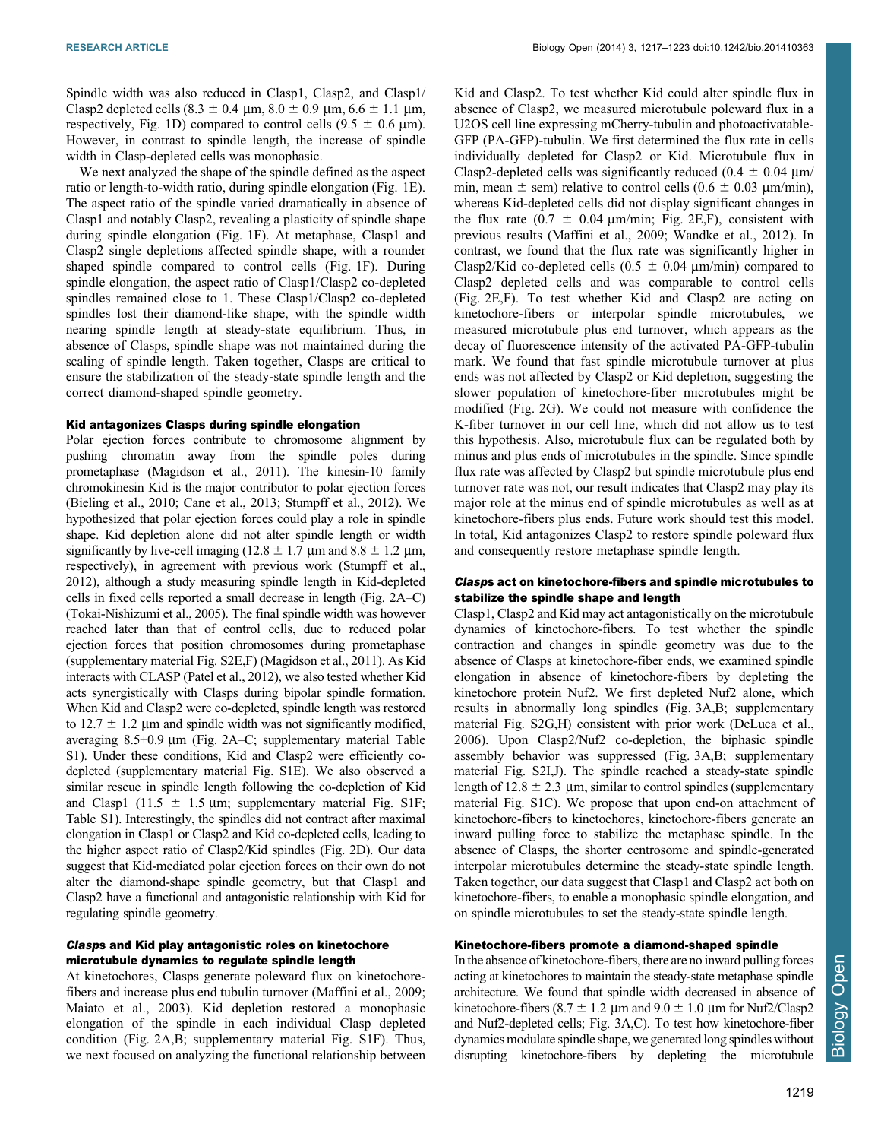Spindle width was also reduced in Clasp1, Clasp2, and Clasp1/ Clasp2 depleted cells (8.3  $\pm$  0.4 µm, 8.0  $\pm$  0.9 µm, 6.6  $\pm$  1.1 µm, respectively, [Fig. 1D](#page-1-0)) compared to control cells  $(9.5 \pm 0.6 \text{ }\mu\text{m})$ . However, in contrast to spindle length, the increase of spindle width in Clasp-depleted cells was monophasic.

We next analyzed the shape of the spindle defined as the aspect ratio or length-to-width ratio, during spindle elongation ([Fig. 1E](#page-1-0)). The aspect ratio of the spindle varied dramatically in absence of Clasp1 and notably Clasp2, revealing a plasticity of spindle shape during spindle elongation ([Fig. 1F\)](#page-1-0). At metaphase, Clasp1 and Clasp2 single depletions affected spindle shape, with a rounder shaped spindle compared to control cells [\(Fig. 1F](#page-1-0)). During spindle elongation, the aspect ratio of Clasp1/Clasp2 co-depleted spindles remained close to 1. These Clasp1/Clasp2 co-depleted spindles lost their diamond-like shape, with the spindle width nearing spindle length at steady-state equilibrium. Thus, in absence of Clasps, spindle shape was not maintained during the scaling of spindle length. Taken together, Clasps are critical to ensure the stabilization of the steady-state spindle length and the correct diamond-shaped spindle geometry.

## Kid antagonizes Clasps during spindle elongation

Polar ejection forces contribute to chromosome alignment by pushing chromatin away from the spindle poles during prometaphase ([Magidson et al., 2011](#page-6-0)). The kinesin-10 family chromokinesin Kid is the major contributor to polar ejection forces ([Bieling et al., 2010; Cane et al., 2013](#page-6-0); [Stumpff et al., 2012](#page-6-0)). We hypothesized that polar ejection forces could play a role in spindle shape. Kid depletion alone did not alter spindle length or width significantly by live-cell imaging (12.8  $\pm$  1.7 µm and 8.8  $\pm$  1.2 µm, respectively), in agreement with previous work ([Stumpff et al.,](#page-6-0) [2012](#page-6-0)), although a study measuring spindle length in Kid-depleted cells in fixed cells reported a small decrease in length [\(Fig. 2A–C\)](#page-3-0) ([Tokai-Nishizumi et al., 2005\)](#page-6-0). The final spindle width was however reached later than that of control cells, due to reduced polar ejection forces that position chromosomes during prometaphase ([supplementary material Fig. S2E,F\)](http://bio.biologists.org/lookup/suppl/doi:10.1242/bio.201410363/-/DC1) [\(Magidson et al., 2011](#page-6-0)). As Kid interacts with CLASP ([Patel et al., 2012\)](#page-6-0), we also tested whether Kid acts synergistically with Clasps during bipolar spindle formation. When Kid and Clasp2 were co-depleted, spindle length was restored to  $12.7 \pm 1.2$  µm and spindle width was not significantly modified, averaging  $8.5+0.9 \mu m$  ([Fig. 2A–C](#page-3-0); [supplementary material Table](http://bio.biologists.org/lookup/suppl/doi:10.1242/bio.201410363/-/DC1) [S1](http://bio.biologists.org/lookup/suppl/doi:10.1242/bio.201410363/-/DC1)). Under these conditions, Kid and Clasp2 were efficiently codepleted [\(supplementary material Fig. S1E\)](http://bio.biologists.org/lookup/suppl/doi:10.1242/bio.201410363/-/DC1). We also observed a similar rescue in spindle length following the co-depletion of Kid and Clasp1 (11.5  $\pm$  1.5 µm; [supplementary material Fig. S1F;](http://bio.biologists.org/lookup/suppl/doi:10.1242/bio.201410363/-/DC1) [Table S1](http://bio.biologists.org/lookup/suppl/doi:10.1242/bio.201410363/-/DC1)). Interestingly, the spindles did not contract after maximal elongation in Clasp1 or Clasp2 and Kid co-depleted cells, leading to the higher aspect ratio of Clasp2/Kid spindles ([Fig. 2D](#page-3-0)). Our data suggest that Kid-mediated polar ejection forces on their own do not alter the diamond-shape spindle geometry, but that Clasp1 and Clasp2 have a functional and antagonistic relationship with Kid for regulating spindle geometry.

## Clasps and Kid play antagonistic roles on kinetochore microtubule dynamics to regulate spindle length

At kinetochores, Clasps generate poleward flux on kinetochorefibers and increase plus end tubulin turnover ([Maffini et al., 2009](#page-6-0); [Maiato et al., 2003\)](#page-6-0). Kid depletion restored a monophasic elongation of the spindle in each individual Clasp depleted condition [\(Fig. 2A,B;](#page-3-0) [supplementary material Fig. S1F\)](http://bio.biologists.org/lookup/suppl/doi:10.1242/bio.201410363/-/DC1). Thus, we next focused on analyzing the functional relationship between Kid and Clasp2. To test whether Kid could alter spindle flux in absence of Clasp2, we measured microtubule poleward flux in a U2OS cell line expressing mCherry-tubulin and photoactivatable-GFP (PA-GFP)-tubulin. We first determined the flux rate in cells individually depleted for Clasp2 or Kid. Microtubule flux in Clasp2-depleted cells was significantly reduced (0.4  $\pm$  0.04 µm/ min, mean  $\pm$  sem) relative to control cells (0.6  $\pm$  0.03 µm/min), whereas Kid-depleted cells did not display significant changes in the flux rate (0.7  $\pm$  0.04 µm/min; [Fig. 2E,F](#page-3-0)), consistent with previous results ([Maffini et al., 2009; Wandke et al., 2012\)](#page-6-0). In contrast, we found that the flux rate was significantly higher in Clasp2/Kid co-depleted cells ( $0.5 \pm 0.04$  µm/min) compared to Clasp2 depleted cells and was comparable to control cells ([Fig. 2E,F](#page-3-0)). To test whether Kid and Clasp2 are acting on kinetochore-fibers or interpolar spindle microtubules, we measured microtubule plus end turnover, which appears as the decay of fluorescence intensity of the activated PA-GFP-tubulin mark. We found that fast spindle microtubule turnover at plus ends was not affected by Clasp2 or Kid depletion, suggesting the slower population of kinetochore-fiber microtubules might be modified ([Fig. 2G\)](#page-3-0). We could not measure with confidence the K-fiber turnover in our cell line, which did not allow us to test this hypothesis. Also, microtubule flux can be regulated both by minus and plus ends of microtubules in the spindle. Since spindle flux rate was affected by Clasp2 but spindle microtubule plus end turnover rate was not, our result indicates that Clasp2 may play its major role at the minus end of spindle microtubules as well as at kinetochore-fibers plus ends. Future work should test this model. In total, Kid antagonizes Clasp2 to restore spindle poleward flux and consequently restore metaphase spindle length.

## Clasps act on kinetochore-fibers and spindle microtubules to stabilize the spindle shape and length

Clasp1, Clasp2 and Kid may act antagonistically on the microtubule dynamics of kinetochore-fibers. To test whether the spindle contraction and changes in spindle geometry was due to the absence of Clasps at kinetochore-fiber ends, we examined spindle elongation in absence of kinetochore-fibers by depleting the kinetochore protein Nuf2. We first depleted Nuf2 alone, which results in abnormally long spindles ([Fig. 3A,B](#page-4-0); [supplementary](http://bio.biologists.org/lookup/suppl/doi:10.1242/bio.201410363/-/DC1) [material Fig. S2G,H](http://bio.biologists.org/lookup/suppl/doi:10.1242/bio.201410363/-/DC1)) consistent with prior work [\(DeLuca et al.,](#page-6-0) [2006](#page-6-0)). Upon Clasp2/Nuf2 co-depletion, the biphasic spindle assembly behavior was suppressed ([Fig. 3A,B;](#page-4-0) [supplementary](http://bio.biologists.org/lookup/suppl/doi:10.1242/bio.201410363/-/DC1) [material Fig. S2I,J\)](http://bio.biologists.org/lookup/suppl/doi:10.1242/bio.201410363/-/DC1). The spindle reached a steady-state spindle length of 12.8  $\pm$  2.3 µm, similar to control spindles [\(supplementary](http://bio.biologists.org/lookup/suppl/doi:10.1242/bio.201410363/-/DC1) [material Fig. S1C\)](http://bio.biologists.org/lookup/suppl/doi:10.1242/bio.201410363/-/DC1). We propose that upon end-on attachment of kinetochore-fibers to kinetochores, kinetochore-fibers generate an inward pulling force to stabilize the metaphase spindle. In the absence of Clasps, the shorter centrosome and spindle-generated interpolar microtubules determine the steady-state spindle length. Taken together, our data suggest that Clasp1 and Clasp2 act both on kinetochore-fibers, to enable a monophasic spindle elongation, and on spindle microtubules to set the steady-state spindle length.

## Kinetochore-fibers promote a diamond-shaped spindle

In the absence of kinetochore-fibers, there are no inward pulling forces acting at kinetochores to maintain the steady-state metaphase spindle architecture. We found that spindle width decreased in absence of kinetochore-fibers (8.7  $\pm$  1.2 µm and 9.0  $\pm$  1.0 µm for Nuf2/Clasp2 and Nuf2-depleted cells; [Fig. 3A,C\)](#page-4-0). To test how kinetochore-fiber dynamics modulate spindle shape, we generated long spindles without disrupting kinetochore-fibers by depleting the microtubule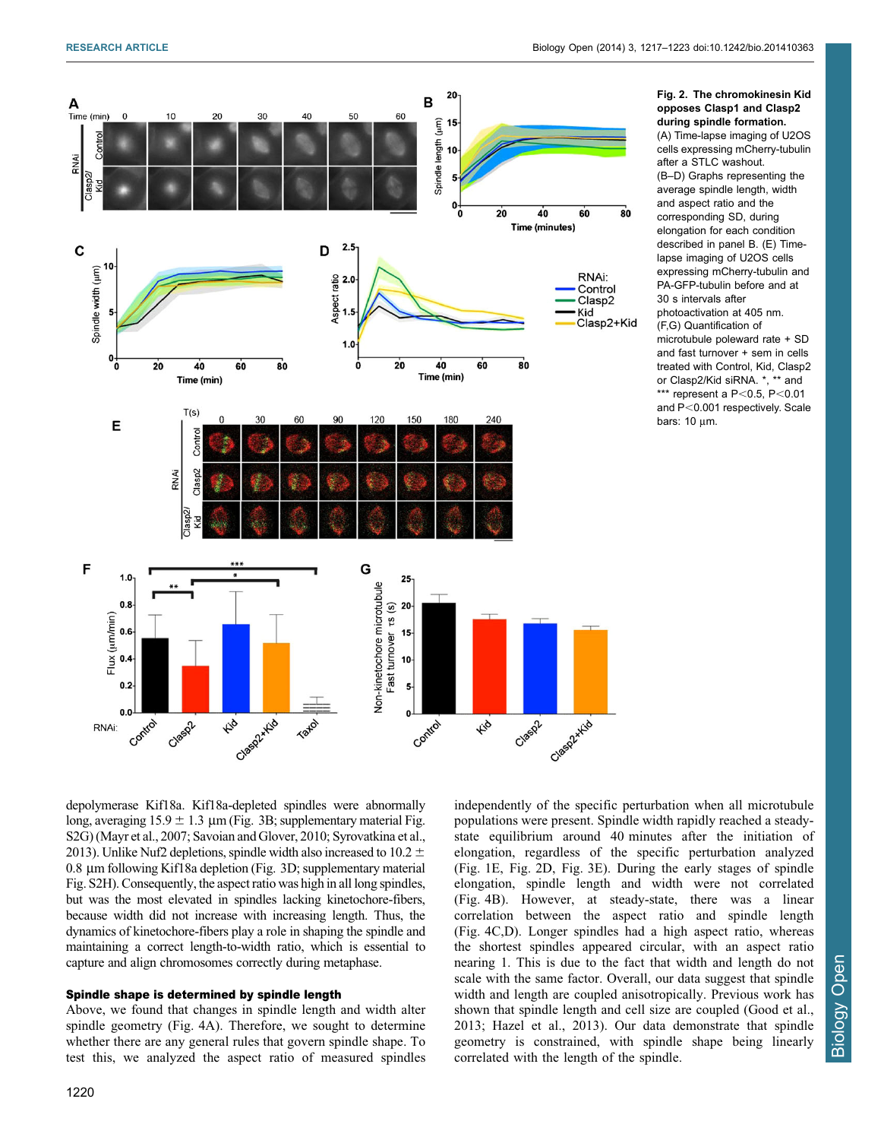<span id="page-3-0"></span>

Fig. 2. The chromokinesin Kid opposes Clasp1 and Clasp2 during spindle formation. (A) Time-lapse imaging of U2OS cells expressing mCherry-tubulin after a STLC washout. (B–D) Graphs representing the average spindle length, width

and aspect ratio and the corresponding SD, during elongation for each condition described in panel B. (E) Timelapse imaging of U2OS cells expressing mCherry-tubulin and PA-GFP-tubulin before and at 30 s intervals after photoactivation at 405 nm. (F,G) Quantification of microtubule poleward rate + SD and fast turnover + sem in cells treated with Control, Kid, Clasp2 or Clasp2/Kid siRNA. \*, \*\* and \*\*\* represent a  $P < 0.5$ ,  $P < 0.01$ and  $P<0.001$  respectively. Scale bars:  $10 \mu m$ .

depolymerase Kif18a. Kif18a-depleted spindles were abnormally long, averaging  $15.9 \pm 1.3$  µm [\(Fig. 3B](#page-4-0); [supplementary material Fig.](http://bio.biologists.org/lookup/suppl/doi:10.1242/bio.201410363/-/DC1) [S2G\)](http://bio.biologists.org/lookup/suppl/doi:10.1242/bio.201410363/-/DC1) ([Mayr et al., 2007; Savoian and Glover, 2010](#page-6-0); [Syrovatkina et al.,](#page-6-0) [2013\)](#page-6-0). Unlike Nuf2 depletions, spindle width also increased to 10.2  $\pm$ 0.8 µm following Kif18a depletion ([Fig. 3D](#page-4-0); [supplementary material](http://bio.biologists.org/lookup/suppl/doi:10.1242/bio.201410363/-/DC1) [Fig. S2H\)](http://bio.biologists.org/lookup/suppl/doi:10.1242/bio.201410363/-/DC1). Consequently, the aspect ratio was high in all long spindles, but was the most elevated in spindles lacking kinetochore-fibers, because width did not increase with increasing length. Thus, the dynamics of kinetochore-fibers play a role in shaping the spindle and maintaining a correct length-to-width ratio, which is essential to capture and align chromosomes correctly during metaphase.

## Spindle shape is determined by spindle length

Above, we found that changes in spindle length and width alter spindle geometry ([Fig. 4A\)](#page-5-0). Therefore, we sought to determine whether there are any general rules that govern spindle shape. To test this, we analyzed the aspect ratio of measured spindles Biology Open

**Biology Open** 

populations were present. Spindle width rapidly reached a steadystate equilibrium around 40 minutes after the initiation of elongation, regardless of the specific perturbation analyzed ([Fig. 1E,](#page-1-0) Fig. 2D, [Fig. 3E](#page-4-0)). During the early stages of spindle elongation, spindle length and width were not correlated ([Fig. 4B](#page-5-0)). However, at steady-state, there was a linear correlation between the aspect ratio and spindle length ([Fig. 4C,D](#page-5-0)). Longer spindles had a high aspect ratio, whereas the shortest spindles appeared circular, with an aspect ratio nearing 1. This is due to the fact that width and length do not scale with the same factor. Overall, our data suggest that spindle width and length are coupled anisotropically. Previous work has shown that spindle length and cell size are coupled [\(Good et al.,](#page-6-0) [2013; Hazel et al., 2013\)](#page-6-0). Our data demonstrate that spindle geometry is constrained, with spindle shape being linearly correlated with the length of the spindle.

independently of the specific perturbation when all microtubule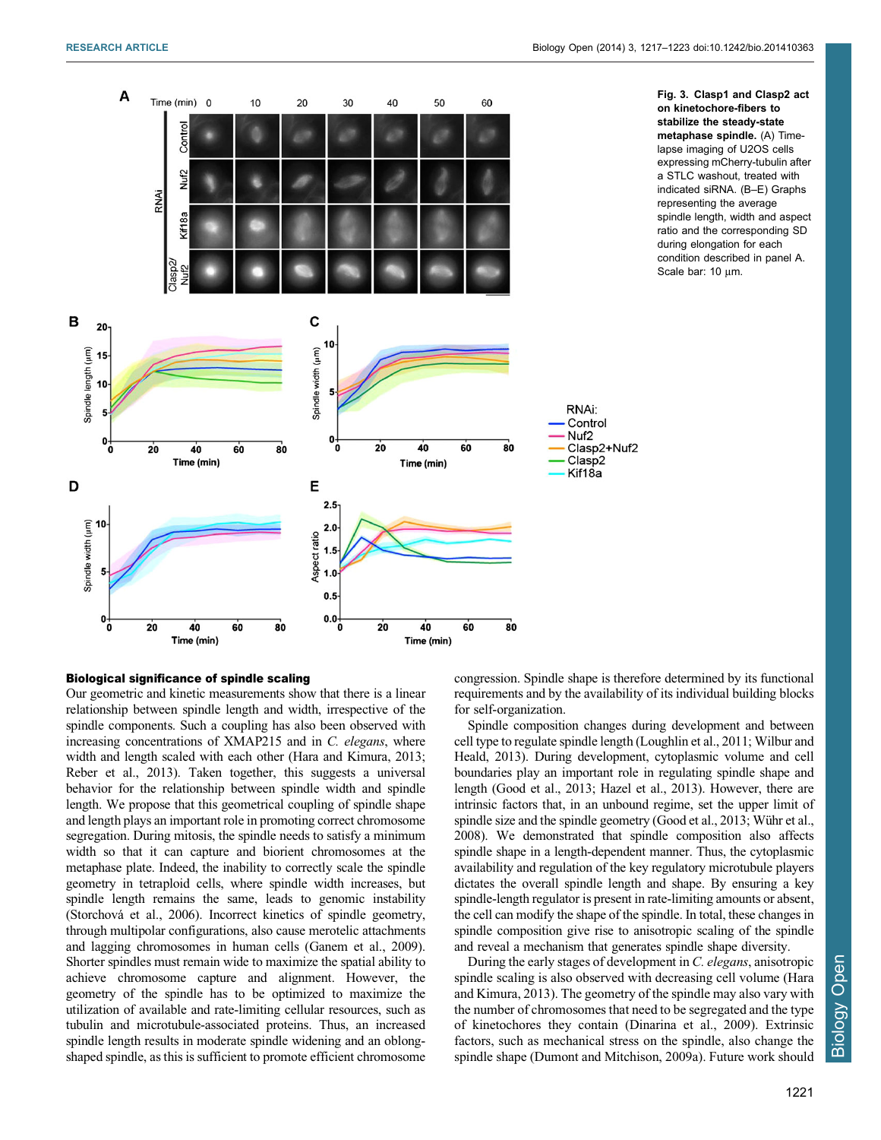<span id="page-4-0"></span>

#### Biological significance of spindle scaling

Our geometric and kinetic measurements show that there is a linear relationship between spindle length and width, irrespective of the spindle components. Such a coupling has also been observed with increasing concentrations of XMAP215 and in C. elegans, where width and length scaled with each other ([Hara and Kimura, 2013](#page-6-0); [Reber et al., 2013](#page-6-0)). Taken together, this suggests a universal behavior for the relationship between spindle width and spindle length. We propose that this geometrical coupling of spindle shape and length plays an important role in promoting correct chromosome segregation. During mitosis, the spindle needs to satisfy a minimum width so that it can capture and biorient chromosomes at the metaphase plate. Indeed, the inability to correctly scale the spindle geometry in tetraploid cells, where spindle width increases, but spindle length remains the same, leads to genomic instability (Storchova´ [et al., 2006](#page-6-0)). Incorrect kinetics of spindle geometry, through multipolar configurations, also cause merotelic attachments and lagging chromosomes in human cells [\(Ganem et al., 2009](#page-6-0)). Shorter spindles must remain wide to maximize the spatial ability to achieve chromosome capture and alignment. However, the geometry of the spindle has to be optimized to maximize the utilization of available and rate-limiting cellular resources, such as tubulin and microtubule-associated proteins. Thus, an increased spindle length results in moderate spindle widening and an oblongshaped spindle, as this is sufficient to promote efficient chromosome

congression. Spindle shape is therefore determined by its functional requirements and by the availability of its individual building blocks for self-organization.

Spindle composition changes during development and between cell type to regulate spindle length [\(Loughlin et al., 2011](#page-6-0); [Wilbur and](#page-6-0) [Heald, 2013](#page-6-0)). During development, cytoplasmic volume and cell boundaries play an important role in regulating spindle shape and length [\(Good et al., 2013; Hazel et al., 2013](#page-6-0)). However, there are intrinsic factors that, in an unbound regime, set the upper limit of spindle size and the spindle geometry (Good et al., 2013; Wühr et al., [2008](#page-6-0)). We demonstrated that spindle composition also affects spindle shape in a length-dependent manner. Thus, the cytoplasmic availability and regulation of the key regulatory microtubule players dictates the overall spindle length and shape. By ensuring a key spindle-length regulator is present in rate-limiting amounts or absent, the cell can modify the shape of the spindle. In total, these changes in spindle composition give rise to anisotropic scaling of the spindle and reveal a mechanism that generates spindle shape diversity.

During the early stages of development in C. elegans, anisotropic spindle scaling is also observed with decreasing cell volume ([Hara](#page-6-0) [and Kimura, 2013\)](#page-6-0). The geometry of the spindle may also vary with the number of chromosomes that need to be segregated and the type of kinetochores they contain ([Dinarina et al., 2009\)](#page-6-0). Extrinsic factors, such as mechanical stress on the spindle, also change the spindle shape ([Dumont and Mitchison, 2009a](#page-6-0)). Future work should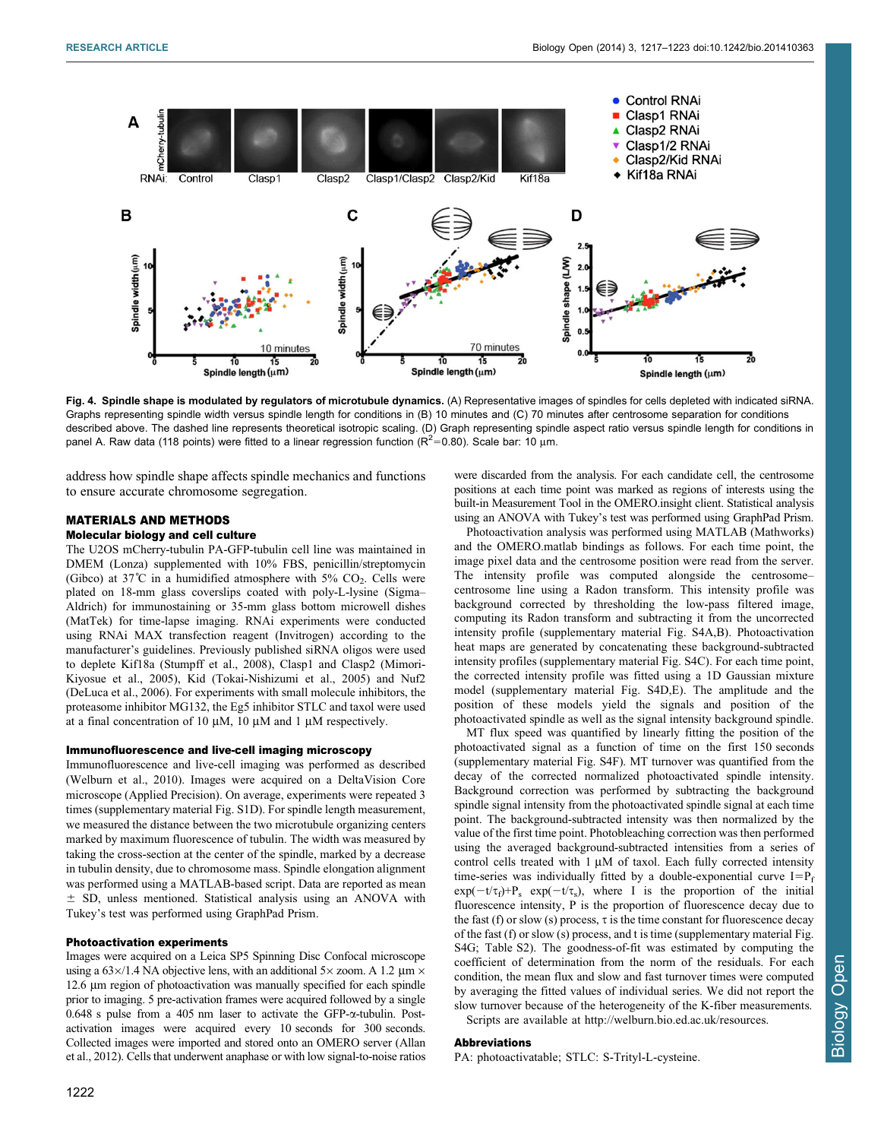<span id="page-5-0"></span>

Fig. 4. Spindle shape is modulated by regulators of microtubule dynamics. (A) Representative images of spindles for cells depleted with indicated siRNA. Graphs representing spindle width versus spindle length for conditions in (B) 10 minutes and (C) 70 minutes after centrosome separation for conditions described above. The dashed line represents theoretical isotropic scaling. (D) Graph representing spindle aspect ratio versus spindle length for conditions in panel A. Raw data (118 points) were fitted to a linear regression function ( $R^2$ =0.80). Scale bar: 10 µm.

address how spindle shape affects spindle mechanics and functions to ensure accurate chromosome segregation.

## MATERIALS AND METHODS Molecular biology and cell culture

The U2OS mCherry-tubulin PA-GFP-tubulin cell line was maintained in DMEM (Lonza) supplemented with 10% FBS, penicillin/streptomycin (Gibco) at 37°C in a humidified atmosphere with  $5\%$  CO<sub>2</sub>. Cells were plated on 18-mm glass coverslips coated with poly-L-lysine (Sigma– Aldrich) for immunostaining or 35-mm glass bottom microwell dishes (MatTek) for time-lapse imaging. RNAi experiments were conducted using RNAi MAX transfection reagent (Invitrogen) according to the manufacturer's guidelines. Previously published siRNA oligos were used to deplete Kif18a [\(Stumpff et al., 2008\)](#page-6-0), Clasp1 and Clasp2 [\(Mimori-](#page-6-0)[Kiyosue et al., 2005\)](#page-6-0), Kid [\(Tokai-Nishizumi et al., 2005](#page-6-0)) and Nuf2 ([DeLuca et al., 2006\)](#page-6-0). For experiments with small molecule inhibitors, the proteasome inhibitor MG132, the Eg5 inhibitor STLC and taxol were used at a final concentration of 10  $\mu$ M, 10  $\mu$ M and 1  $\mu$ M respectively.

#### Immunofluorescence and live-cell imaging microscopy

Immunofluorescence and live-cell imaging was performed as described ([Welburn et al., 2010\)](#page-6-0). Images were acquired on a DeltaVision Core microscope (Applied Precision). On average, experiments were repeated 3 times ([supplementary material Fig. S1D\)](http://bio.biologists.org/lookup/suppl/doi:10.1242/bio.201410363/-/DC1). For spindle length measurement, we measured the distance between the two microtubule organizing centers marked by maximum fluorescence of tubulin. The width was measured by taking the cross-section at the center of the spindle, marked by a decrease in tubulin density, due to chromosome mass. Spindle elongation alignment was performed using a MATLAB-based script. Data are reported as mean  $\pm$  SD, unless mentioned. Statistical analysis using an ANOVA with Tukey's test was performed using GraphPad Prism.

#### Photoactivation experiments

Images were acquired on a Leica SP5 Spinning Disc Confocal microscope using a  $63\times/1.4$  NA objective lens, with an additional  $5\times$  zoom. A 1.2  $\mu$ m  $\times$ 12.6 µm region of photoactivation was manually specified for each spindle prior to imaging. 5 pre-activation frames were acquired followed by a single 0.648 s pulse from a 405 nm laser to activate the GFP-a-tubulin. Postactivation images were acquired every 10 seconds for 300 seconds. Collected images were imported and stored onto an OMERO server ([Allan](#page-6-0) [et al., 2012\)](#page-6-0). Cells that underwent anaphase or with low signal-to-noise ratios were discarded from the analysis. For each candidate cell, the centrosome positions at each time point was marked as regions of interests using the built-in Measurement Tool in the OMERO.insight client. Statistical analysis using an ANOVA with Tukey's test was performed using GraphPad Prism.

Photoactivation analysis was performed using MATLAB (Mathworks) and the OMERO.matlab bindings as follows. For each time point, the image pixel data and the centrosome position were read from the server. The intensity profile was computed alongside the centrosome– centrosome line using a Radon transform. This intensity profile was background corrected by thresholding the low-pass filtered image, computing its Radon transform and subtracting it from the uncorrected intensity profile [\(supplementary material Fig. S4A,B\)](http://bio.biologists.org/lookup/suppl/doi:10.1242/bio.201410363/-/DC1). Photoactivation heat maps are generated by concatenating these background-subtracted intensity profiles [\(supplementary material Fig. S4C](http://bio.biologists.org/lookup/suppl/doi:10.1242/bio.201410363/-/DC1)). For each time point, the corrected intensity profile was fitted using a 1D Gaussian mixture model ([supplementary material Fig. S4D,E](http://bio.biologists.org/lookup/suppl/doi:10.1242/bio.201410363/-/DC1)). The amplitude and the position of these models yield the signals and position of the photoactivated spindle as well as the signal intensity background spindle.

MT flux speed was quantified by linearly fitting the position of the photoactivated signal as a function of time on the first 150 seconds ([supplementary material Fig. S4F](http://bio.biologists.org/lookup/suppl/doi:10.1242/bio.201410363/-/DC1)). MT turnover was quantified from the decay of the corrected normalized photoactivated spindle intensity. Background correction was performed by subtracting the background spindle signal intensity from the photoactivated spindle signal at each time point. The background-subtracted intensity was then normalized by the value of the first time point. Photobleaching correction was then performed using the averaged background-subtracted intensities from a series of control cells treated with  $1 \mu M$  of taxol. Each fully corrected intensity time-series was individually fitted by a double-exponential curve  $I=P_f$  $exp(-t/\tau_f)+P_s exp(-t/\tau_s)$ , where I is the proportion of the initial fluorescence intensity, P is the proportion of fluorescence decay due to the fast (f) or slow (s) process,  $\tau$  is the time constant for fluorescence decay of the fast (f) or slow (s) process, and t is time ([supplementary material Fig.](http://bio.biologists.org/lookup/suppl/doi:10.1242/bio.201410363/-/DC1) [S4G; Table S2](http://bio.biologists.org/lookup/suppl/doi:10.1242/bio.201410363/-/DC1)). The goodness-of-fit was estimated by computing the coefficient of determination from the norm of the residuals. For each condition, the mean flux and slow and fast turnover times were computed by averaging the fitted values of individual series. We did not report the slow turnover because of the heterogeneity of the K-fiber measurements.

Scripts are available at [http://welburn.bio.ed.ac.uk/resources.](http://welburn.bio.ed.ac.uk/resources)

## Abbreviations

PA: photoactivatable; STLC: S-Trityl-L-cysteine.